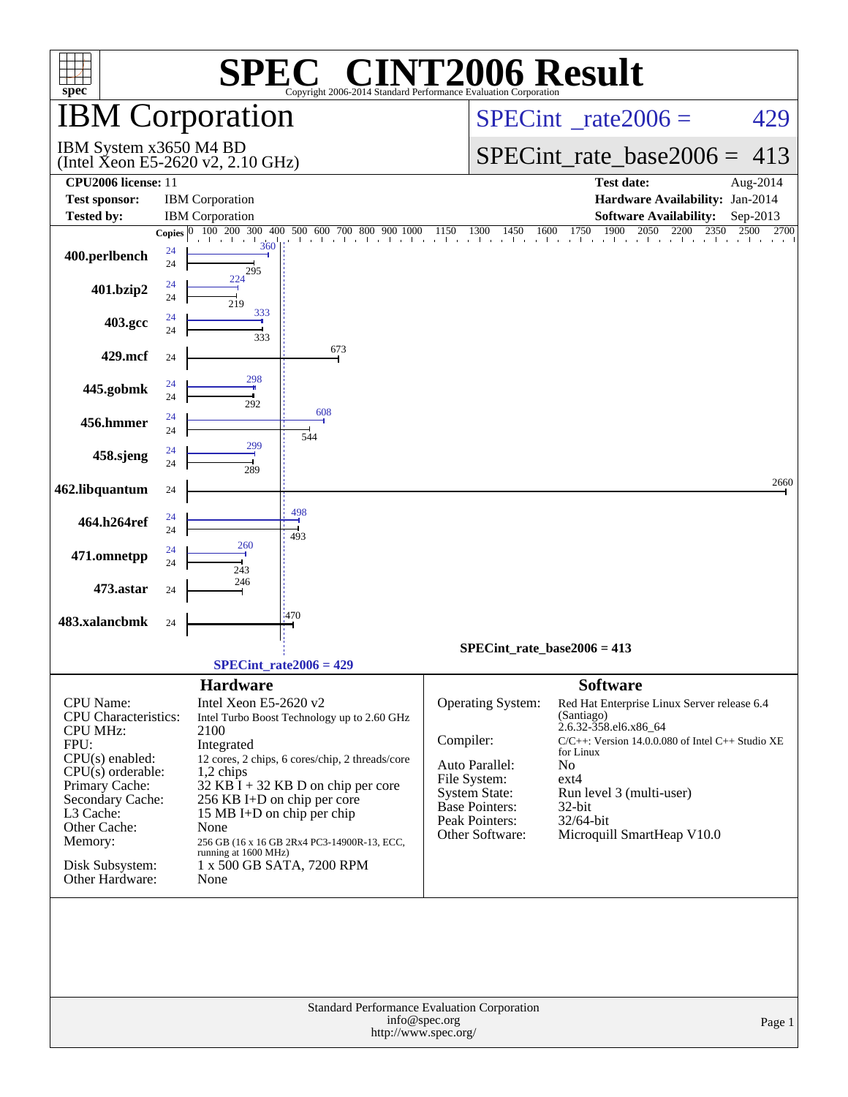| spec <sup>®</sup>                                                                                                                                                                                                                   |                                |                                                                                                                                                                                                                                                                                                        |                                                                                                | Copyright 2006-2014 Standard Performance Evaluation Corporation                                                                                        | <b>C® CINT2006 Result</b>                                                                                                                                                                                                                                                 |                                  |
|-------------------------------------------------------------------------------------------------------------------------------------------------------------------------------------------------------------------------------------|--------------------------------|--------------------------------------------------------------------------------------------------------------------------------------------------------------------------------------------------------------------------------------------------------------------------------------------------------|------------------------------------------------------------------------------------------------|--------------------------------------------------------------------------------------------------------------------------------------------------------|---------------------------------------------------------------------------------------------------------------------------------------------------------------------------------------------------------------------------------------------------------------------------|----------------------------------|
|                                                                                                                                                                                                                                     |                                | <b>IBM</b> Corporation                                                                                                                                                                                                                                                                                 |                                                                                                |                                                                                                                                                        | $SPECint^{\circ}$ rate $2006 =$                                                                                                                                                                                                                                           | 429                              |
| IBM System x3650 M4 BD<br>(Intel Xeon E5-2620 v2, 2.10 GHz)                                                                                                                                                                         |                                |                                                                                                                                                                                                                                                                                                        |                                                                                                |                                                                                                                                                        | $SPECint_rate\_base2006 =$                                                                                                                                                                                                                                                | 413                              |
| <b>CPU2006</b> license: 11                                                                                                                                                                                                          |                                |                                                                                                                                                                                                                                                                                                        |                                                                                                |                                                                                                                                                        | <b>Test date:</b>                                                                                                                                                                                                                                                         | Aug-2014                         |
| <b>Test sponsor:</b>                                                                                                                                                                                                                |                                | <b>IBM</b> Corporation                                                                                                                                                                                                                                                                                 |                                                                                                |                                                                                                                                                        | Hardware Availability: Jan-2014                                                                                                                                                                                                                                           |                                  |
| <b>Tested by:</b>                                                                                                                                                                                                                   |                                | <b>IBM</b> Corporation<br>300<br>100 200<br>400                                                                                                                                                                                                                                                        | 500 600 700 800<br>900                                                                         | 1150<br>1300<br>1450                                                                                                                                   | <b>Software Availability:</b><br>1900<br>2050<br>1600<br>1750<br>2200                                                                                                                                                                                                     | Sep-2013<br>2350<br>2700<br>2500 |
| 400.perlbench                                                                                                                                                                                                                       | Copies $ 0\rangle$<br>24<br>24 | $360$  <br>295                                                                                                                                                                                                                                                                                         | the the theories to a                                                                          |                                                                                                                                                        | and and the self-best file still                                                                                                                                                                                                                                          |                                  |
| 401.bzip2                                                                                                                                                                                                                           | 24<br>24                       | 224<br>219                                                                                                                                                                                                                                                                                             |                                                                                                |                                                                                                                                                        |                                                                                                                                                                                                                                                                           |                                  |
| 403.gcc                                                                                                                                                                                                                             | 24<br>24                       | 333<br>333                                                                                                                                                                                                                                                                                             |                                                                                                |                                                                                                                                                        |                                                                                                                                                                                                                                                                           |                                  |
| 429.mcf                                                                                                                                                                                                                             | 24                             |                                                                                                                                                                                                                                                                                                        | 673                                                                                            |                                                                                                                                                        |                                                                                                                                                                                                                                                                           |                                  |
| 445.gobmk                                                                                                                                                                                                                           | 24<br>24                       | 298<br>292                                                                                                                                                                                                                                                                                             | 608                                                                                            |                                                                                                                                                        |                                                                                                                                                                                                                                                                           |                                  |
| 456.hmmer                                                                                                                                                                                                                           | 24<br>24                       | 299                                                                                                                                                                                                                                                                                                    | 544                                                                                            |                                                                                                                                                        |                                                                                                                                                                                                                                                                           |                                  |
| 458.sjeng                                                                                                                                                                                                                           | 24<br>24                       | 289                                                                                                                                                                                                                                                                                                    |                                                                                                |                                                                                                                                                        |                                                                                                                                                                                                                                                                           |                                  |
| 462.libquantum                                                                                                                                                                                                                      | 24                             | 498                                                                                                                                                                                                                                                                                                    |                                                                                                |                                                                                                                                                        |                                                                                                                                                                                                                                                                           | 2660                             |
| 464.h264ref                                                                                                                                                                                                                         | 24<br>24<br>24                 | 493<br>260                                                                                                                                                                                                                                                                                             |                                                                                                |                                                                                                                                                        |                                                                                                                                                                                                                                                                           |                                  |
| 471.omnetpp                                                                                                                                                                                                                         | 24                             | 243<br>246                                                                                                                                                                                                                                                                                             |                                                                                                |                                                                                                                                                        |                                                                                                                                                                                                                                                                           |                                  |
| 473.astar<br>483.xalancbmk                                                                                                                                                                                                          | 24                             | :470                                                                                                                                                                                                                                                                                                   |                                                                                                |                                                                                                                                                        |                                                                                                                                                                                                                                                                           |                                  |
|                                                                                                                                                                                                                                     | 24                             |                                                                                                                                                                                                                                                                                                        |                                                                                                |                                                                                                                                                        | $SPECint_rate_base2006 = 413$                                                                                                                                                                                                                                             |                                  |
|                                                                                                                                                                                                                                     |                                | $SPECint_rate2006 = 429$                                                                                                                                                                                                                                                                               |                                                                                                |                                                                                                                                                        |                                                                                                                                                                                                                                                                           |                                  |
| CPU Name:<br><b>CPU</b> Characteristics:<br><b>CPU MHz:</b><br>FPU:<br>$CPU(s)$ enabled:<br>$CPU(s)$ orderable:<br>Primary Cache:<br>Secondary Cache:<br>L3 Cache:<br>Other Cache:<br>Memory:<br>Disk Subsystem:<br>Other Hardware: |                                | <b>Hardware</b><br>Intel Xeon E5-2620 v2<br>2100<br>Integrated<br>$1,2$ chips<br>$32$ KB I + 32 KB D on chip per core<br>256 KB I+D on chip per core<br>15 MB I+D on chip per chip<br>None<br>256 GB (16 x 16 GB 2Rx4 PC3-14900R-13, ECC,<br>running at 1600 MHz)<br>1 x 500 GB SATA, 7200 RPM<br>None | Intel Turbo Boost Technology up to 2.60 GHz<br>12 cores, 2 chips, 6 cores/chip, 2 threads/core | Operating System:<br>Compiler:<br>Auto Parallel:<br>File System:<br><b>System State:</b><br><b>Base Pointers:</b><br>Peak Pointers:<br>Other Software: | <b>Software</b><br>Red Hat Enterprise Linux Server release 6.4<br>(Santiago)<br>2.6.32-358.el6.x86_64<br>C/C++: Version 14.0.0.080 of Intel C++ Studio XE<br>for Linux<br>No<br>$ext{4}$<br>Run level 3 (multi-user)<br>32-bit<br>32/64-bit<br>Microquill SmartHeap V10.0 |                                  |
|                                                                                                                                                                                                                                     |                                |                                                                                                                                                                                                                                                                                                        |                                                                                                | Standard Performance Evaluation Corporation<br>info@spec.org<br>http://www.spec.org/                                                                   |                                                                                                                                                                                                                                                                           | Page 1                           |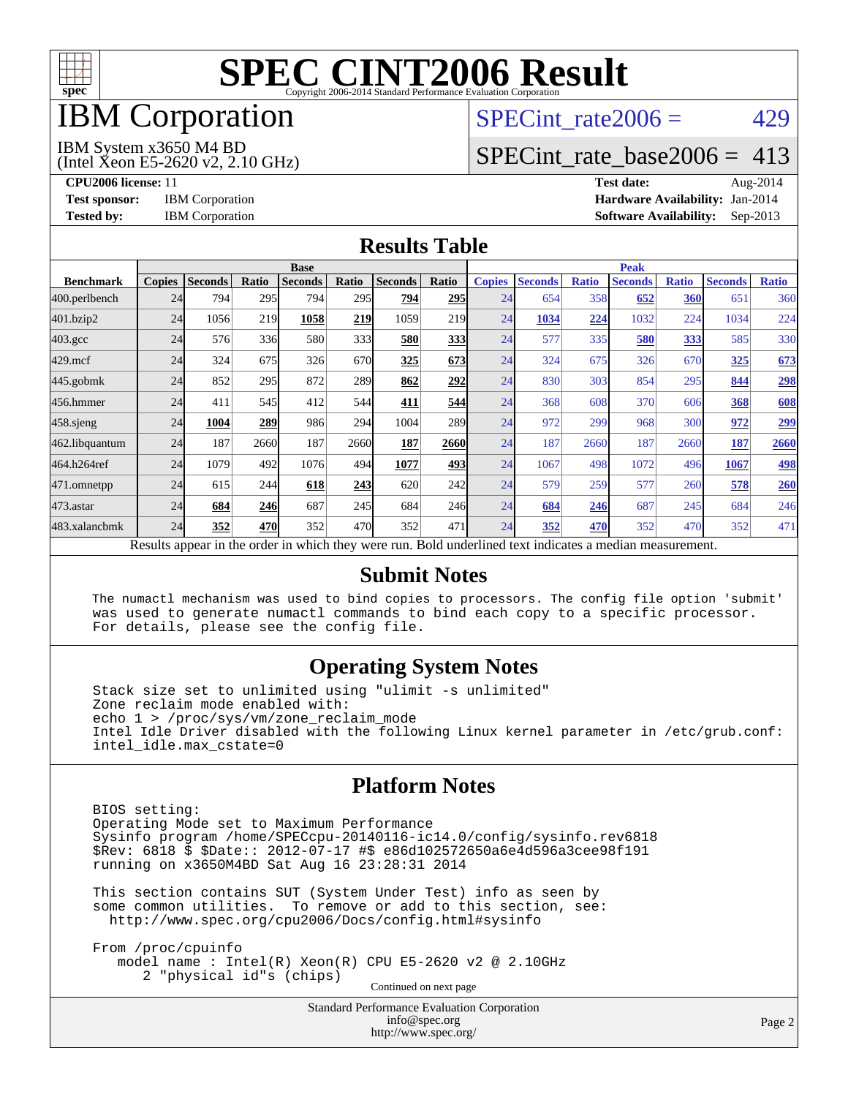

## IBM Corporation

## SPECint rate $2006 = 429$

#### IBM System x3650 M4 BD

(Intel Xeon E5-2620 v2, 2.10 GHz)

[SPECint\\_rate\\_base2006 =](http://www.spec.org/auto/cpu2006/Docs/result-fields.html#SPECintratebase2006) 413

**[CPU2006 license:](http://www.spec.org/auto/cpu2006/Docs/result-fields.html#CPU2006license)** 11 **[Test date:](http://www.spec.org/auto/cpu2006/Docs/result-fields.html#Testdate)** Aug-2014 **[Test sponsor:](http://www.spec.org/auto/cpu2006/Docs/result-fields.html#Testsponsor)** IBM Corporation **[Hardware Availability:](http://www.spec.org/auto/cpu2006/Docs/result-fields.html#HardwareAvailability)** Jan-2014 **[Tested by:](http://www.spec.org/auto/cpu2006/Docs/result-fields.html#Testedby)** IBM Corporation **[Software Availability:](http://www.spec.org/auto/cpu2006/Docs/result-fields.html#SoftwareAvailability)** Sep-2013

#### **[Results Table](http://www.spec.org/auto/cpu2006/Docs/result-fields.html#ResultsTable)**

|                                                                                                          | <b>Base</b>   |                |              |                |       |                | <b>Peak</b> |               |                |              |                |              |                |              |
|----------------------------------------------------------------------------------------------------------|---------------|----------------|--------------|----------------|-------|----------------|-------------|---------------|----------------|--------------|----------------|--------------|----------------|--------------|
| <b>Benchmark</b>                                                                                         | <b>Copies</b> | <b>Seconds</b> | <b>Ratio</b> | <b>Seconds</b> | Ratio | <b>Seconds</b> | Ratio       | <b>Copies</b> | <b>Seconds</b> | <b>Ratio</b> | <b>Seconds</b> | <b>Ratio</b> | <b>Seconds</b> | <b>Ratio</b> |
| 400.perlbench                                                                                            | 24            | 794            | 295          | 794            | 295   | 794            | <b>295</b>  | 24            | 654            | 358          | 652            | 360          | 651            | 360          |
| 401.bzip2                                                                                                | 24            | 1056           | 219          | 1058           | 219   | 1059           | 219         | 24            | 1034           | 224          | 1032           | 224          | 1034           | 224          |
| $403.\mathrm{gcc}$                                                                                       | 24            | 576            | 336          | 580            | 333   | 580            | 333         | 24            | 577            | 335          | 580            | 333          | 585            | 330          |
| $429$ .mcf                                                                                               | 24            | 324            | 675          | 326            | 670   | 325            | 673         | 24            | 324            | 675          | 326            | 670          | 325            | 673          |
| $445$ .gobmk                                                                                             | 24            | 852            | 295          | 872            | 289   | 862            | 292         | 24            | 830            | 303          | 854            | 295          | 844            | 298          |
| 456.hmmer                                                                                                | 24            | 411            | 545          | 412            | 544   | 411            | 544         | 24            | 368            | 608          | 370            | 606          | 368            | 608          |
| 458 sjeng                                                                                                | 24            | 1004           | 289          | 986            | 294   | 1004           | <b>289</b>  | 24            | 972            | 299          | 968            | 300          | 972            | 299          |
| 462.libquantum                                                                                           | 24            | 187            | 2660         | 187            | 2660  | 187            | 2660        | 24            | 187            | 2660         | 187            | 2660         | 187            | 2660         |
| 464.h264ref                                                                                              | 24            | 1079           | 492          | 1076           | 494   | 1077           | 493         | 24            | 1067           | 498          | 1072           | 496          | 1067           | 498          |
| 471.omnetpp                                                                                              | 24            | 615            | 244          | 618            | 243   | 620            | 242l        | 24            | 579            | 259          | 577            | 260          | 578            | 260          |
| $473$ . astar                                                                                            | 24            | 684            | 246          | 687            | 245   | 684            | 246         | 24            | 684            | 246          | 687            | 245          | 684            | 246          |
| 483.xalancbmk                                                                                            | 24            | 352            | 470          | 352            | 470   | 352            | 471         | 24            | 352            | 470          | 352            | 470          | 352            | 471          |
| Results appear in the order in which they were run. Bold underlined text indicates a median measurement. |               |                |              |                |       |                |             |               |                |              |                |              |                |              |

#### **[Submit Notes](http://www.spec.org/auto/cpu2006/Docs/result-fields.html#SubmitNotes)**

 The numactl mechanism was used to bind copies to processors. The config file option 'submit' was used to generate numactl commands to bind each copy to a specific processor. For details, please see the config file.

### **[Operating System Notes](http://www.spec.org/auto/cpu2006/Docs/result-fields.html#OperatingSystemNotes)**

 Stack size set to unlimited using "ulimit -s unlimited" Zone reclaim mode enabled with: echo 1 > /proc/sys/vm/zone\_reclaim\_mode Intel Idle Driver disabled with the following Linux kernel parameter in /etc/grub.conf: intel\_idle.max\_cstate=0

#### **[Platform Notes](http://www.spec.org/auto/cpu2006/Docs/result-fields.html#PlatformNotes)**

 BIOS setting: Operating Mode set to Maximum Performance Sysinfo program /home/SPECcpu-20140116-ic14.0/config/sysinfo.rev6818 \$Rev: 6818 \$ \$Date:: 2012-07-17 #\$ e86d102572650a6e4d596a3cee98f191 running on x3650M4BD Sat Aug 16 23:28:31 2014

 This section contains SUT (System Under Test) info as seen by some common utilities. To remove or add to this section, see: <http://www.spec.org/cpu2006/Docs/config.html#sysinfo>

 From /proc/cpuinfo model name : Intel(R) Xeon(R) CPU E5-2620 v2 @ 2.10GHz 2 "physical id"s (chips) Continued on next page

> Standard Performance Evaluation Corporation [info@spec.org](mailto:info@spec.org) <http://www.spec.org/>

Page 2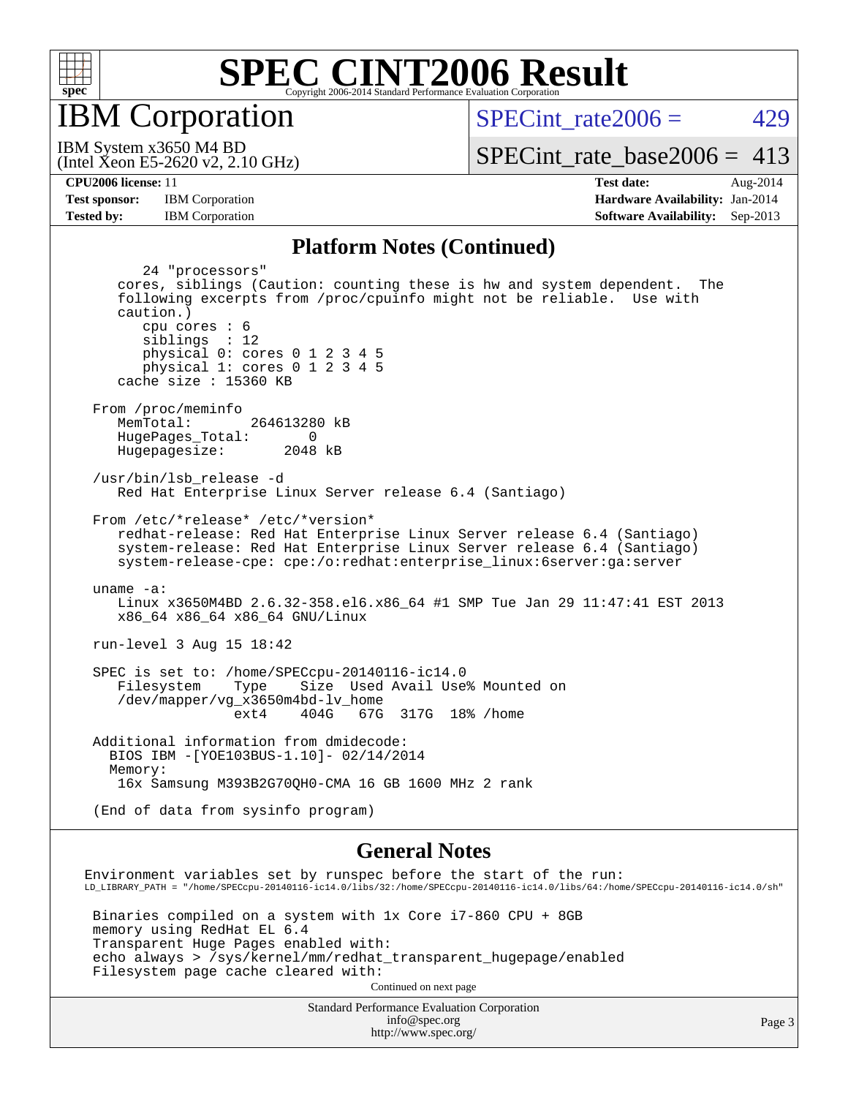

IBM Corporation

 $SPECTnt_rate2006 = 429$ 

(Intel Xeon E5-2620 v2, 2.10 GHz) IBM System x3650 M4 BD

[SPECint\\_rate\\_base2006 =](http://www.spec.org/auto/cpu2006/Docs/result-fields.html#SPECintratebase2006) 413

**[Tested by:](http://www.spec.org/auto/cpu2006/Docs/result-fields.html#Testedby)** IBM Corporation **[Software Availability:](http://www.spec.org/auto/cpu2006/Docs/result-fields.html#SoftwareAvailability)** Sep-2013

**[CPU2006 license:](http://www.spec.org/auto/cpu2006/Docs/result-fields.html#CPU2006license)** 11 **[Test date:](http://www.spec.org/auto/cpu2006/Docs/result-fields.html#Testdate)** Aug-2014 [Test sponsor:](http://www.spec.org/auto/cpu2006/Docs/result-fields.html#Testsponsor) IBM Corporation **[Hardware Availability:](http://www.spec.org/auto/cpu2006/Docs/result-fields.html#HardwareAvailability)** Jan-2014

#### **[Platform Notes \(Continued\)](http://www.spec.org/auto/cpu2006/Docs/result-fields.html#PlatformNotes)**

| 24 "processors"<br>cores, siblings (Caution: counting these is hw and system dependent.<br>The<br>following excerpts from /proc/cpuinfo might not be reliable. Use with<br>caution.)<br>cpu cores : 6<br>siblings : 12<br>physical 0: cores 0 1 2 3 4 5<br>physical 1: cores 0 1 2 3 4 5<br>cache size : 15360 KB                                                |
|------------------------------------------------------------------------------------------------------------------------------------------------------------------------------------------------------------------------------------------------------------------------------------------------------------------------------------------------------------------|
| From /proc/meminfo<br>MemTotal:<br>264613280 kB<br>HugePages_Total:<br>$\Omega$<br>Hugepagesize: 2048 kB                                                                                                                                                                                                                                                         |
| /usr/bin/lsb release -d<br>Red Hat Enterprise Linux Server release 6.4 (Santiago)                                                                                                                                                                                                                                                                                |
| From /etc/*release* /etc/*version*<br>redhat-release: Red Hat Enterprise Linux Server release 6.4 (Santiago)<br>system-release: Red Hat Enterprise Linux Server release 6.4 (Santiago)<br>system-release-cpe: cpe:/o:redhat:enterprise_linux:6server:ga:server                                                                                                   |
| uname $-a$ :<br>Linux x3650M4BD 2.6.32-358.el6.x86_64 #1 SMP Tue Jan 29 11:47:41 EST 2013<br>x86_64 x86_64 x86_64 GNU/Linux                                                                                                                                                                                                                                      |
| run-level 3 Aug 15 18:42                                                                                                                                                                                                                                                                                                                                         |
| SPEC is set to: /home/SPECcpu-20140116-ic14.0<br>Filesystem<br>Size Used Avail Use% Mounted on<br>Type<br>/dev/mapper/vg_x3650m4bd-lv_home<br>404G 67G 317G 18% / home<br>ext4                                                                                                                                                                                   |
| Additional information from dmidecode:<br>BIOS IBM - [YOE103BUS-1.10] - 02/14/2014<br>Memory:<br>16x Samsung M393B2G70QH0-CMA 16 GB 1600 MHz 2 rank                                                                                                                                                                                                              |
| (End of data from sysinfo program)                                                                                                                                                                                                                                                                                                                               |
| <b>General Notes</b>                                                                                                                                                                                                                                                                                                                                             |
| Environment variables set by runspec before the start of the run:<br>$\verb LD_LIBRARY_PATH = "/home/SPECcpu-20140116-ic14.0/libs/32://home/SPECpu-20140116-ic14.0/libs/64://home/SPECpu-20140116-ic14.0/sh=0.0140116-ic14.0/sh=0.0140116-ic14.0/sh=0.0140116-ic14.0/sh=0.0140116-ic14.0/sh=0.0140116-ic14.0/sh=0.0140116-ic14.0/sh=0.0140116-ic14.0/sh=0.01401$ |
| Binaries compiled on a system with 1x Core i7-860 CPU + 8GB<br>memory using RedHat EL 6.4<br>Transparent Huge Pages enabled with:                                                                                                                                                                                                                                |

echo always > /sys/kernel/mm/redhat\_transparent\_hugepage/enabled

Filesystem page cache cleared with:

Continued on next page

Standard Performance Evaluation Corporation [info@spec.org](mailto:info@spec.org) <http://www.spec.org/>

Page 3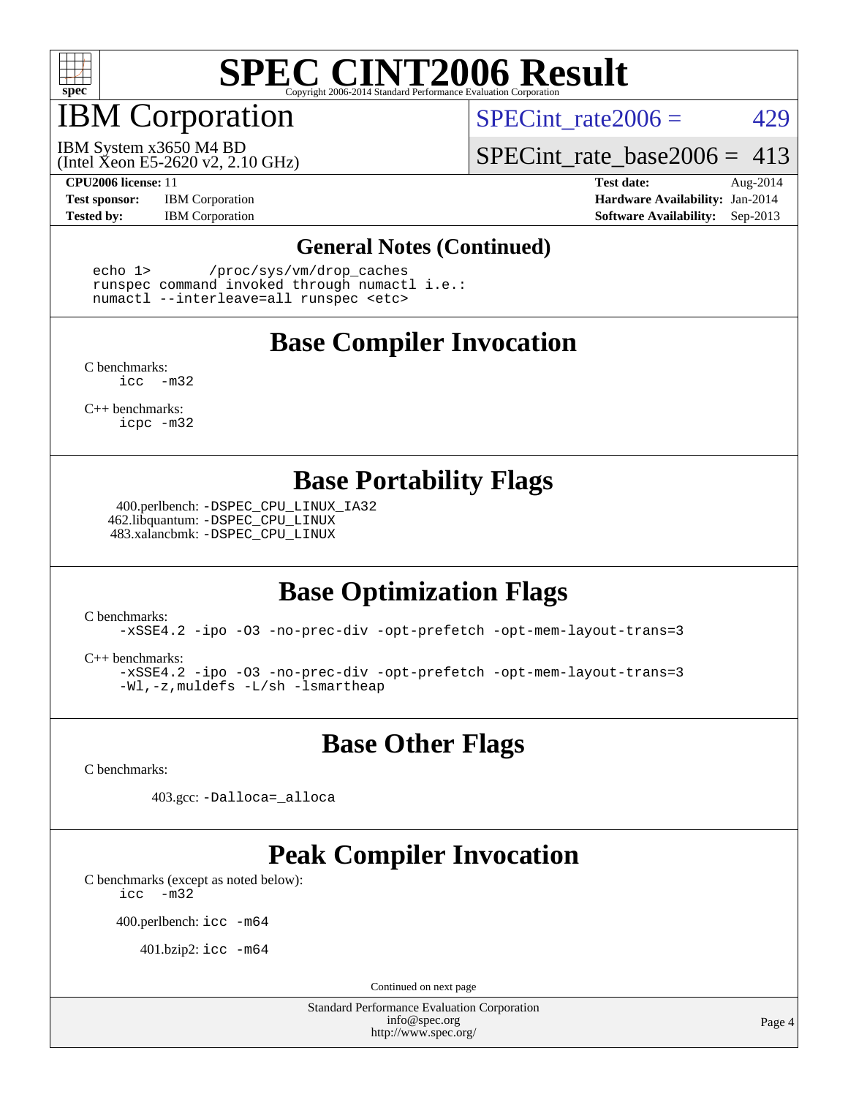

## IBM Corporation

SPECint rate $2006 = 429$ 

(Intel Xeon E5-2620 v2, 2.10 GHz) IBM System x3650 M4 BD

[SPECint\\_rate\\_base2006 =](http://www.spec.org/auto/cpu2006/Docs/result-fields.html#SPECintratebase2006) 413

**[Test sponsor:](http://www.spec.org/auto/cpu2006/Docs/result-fields.html#Testsponsor)** IBM Corporation **[Hardware Availability:](http://www.spec.org/auto/cpu2006/Docs/result-fields.html#HardwareAvailability)** Jan-2014

**[CPU2006 license:](http://www.spec.org/auto/cpu2006/Docs/result-fields.html#CPU2006license)** 11 **[Test date:](http://www.spec.org/auto/cpu2006/Docs/result-fields.html#Testdate)** Aug-2014 **[Tested by:](http://www.spec.org/auto/cpu2006/Docs/result-fields.html#Testedby)** IBM Corporation **[Software Availability:](http://www.spec.org/auto/cpu2006/Docs/result-fields.html#SoftwareAvailability)** Sep-2013

#### **[General Notes \(Continued\)](http://www.spec.org/auto/cpu2006/Docs/result-fields.html#GeneralNotes)**

 echo 1> /proc/sys/vm/drop\_caches runspec command invoked through numactl i.e.: numactl --interleave=all runspec <etc>

### **[Base Compiler Invocation](http://www.spec.org/auto/cpu2006/Docs/result-fields.html#BaseCompilerInvocation)**

[C benchmarks](http://www.spec.org/auto/cpu2006/Docs/result-fields.html#Cbenchmarks): [icc -m32](http://www.spec.org/cpu2006/results/res2014q3/cpu2006-20140822-30994.flags.html#user_CCbase_intel_icc_5ff4a39e364c98233615fdd38438c6f2)

[C++ benchmarks:](http://www.spec.org/auto/cpu2006/Docs/result-fields.html#CXXbenchmarks) [icpc -m32](http://www.spec.org/cpu2006/results/res2014q3/cpu2006-20140822-30994.flags.html#user_CXXbase_intel_icpc_4e5a5ef1a53fd332b3c49e69c3330699)

### **[Base Portability Flags](http://www.spec.org/auto/cpu2006/Docs/result-fields.html#BasePortabilityFlags)**

 400.perlbench: [-DSPEC\\_CPU\\_LINUX\\_IA32](http://www.spec.org/cpu2006/results/res2014q3/cpu2006-20140822-30994.flags.html#b400.perlbench_baseCPORTABILITY_DSPEC_CPU_LINUX_IA32) 462.libquantum: [-DSPEC\\_CPU\\_LINUX](http://www.spec.org/cpu2006/results/res2014q3/cpu2006-20140822-30994.flags.html#b462.libquantum_baseCPORTABILITY_DSPEC_CPU_LINUX) 483.xalancbmk: [-DSPEC\\_CPU\\_LINUX](http://www.spec.org/cpu2006/results/res2014q3/cpu2006-20140822-30994.flags.html#b483.xalancbmk_baseCXXPORTABILITY_DSPEC_CPU_LINUX)

### **[Base Optimization Flags](http://www.spec.org/auto/cpu2006/Docs/result-fields.html#BaseOptimizationFlags)**

[C benchmarks](http://www.spec.org/auto/cpu2006/Docs/result-fields.html#Cbenchmarks):

[-xSSE4.2](http://www.spec.org/cpu2006/results/res2014q3/cpu2006-20140822-30994.flags.html#user_CCbase_f-xSSE42_f91528193cf0b216347adb8b939d4107) [-ipo](http://www.spec.org/cpu2006/results/res2014q3/cpu2006-20140822-30994.flags.html#user_CCbase_f-ipo) [-O3](http://www.spec.org/cpu2006/results/res2014q3/cpu2006-20140822-30994.flags.html#user_CCbase_f-O3) [-no-prec-div](http://www.spec.org/cpu2006/results/res2014q3/cpu2006-20140822-30994.flags.html#user_CCbase_f-no-prec-div) [-opt-prefetch](http://www.spec.org/cpu2006/results/res2014q3/cpu2006-20140822-30994.flags.html#user_CCbase_f-opt-prefetch) [-opt-mem-layout-trans=3](http://www.spec.org/cpu2006/results/res2014q3/cpu2006-20140822-30994.flags.html#user_CCbase_f-opt-mem-layout-trans_a7b82ad4bd7abf52556d4961a2ae94d5)

[C++ benchmarks:](http://www.spec.org/auto/cpu2006/Docs/result-fields.html#CXXbenchmarks)

[-xSSE4.2](http://www.spec.org/cpu2006/results/res2014q3/cpu2006-20140822-30994.flags.html#user_CXXbase_f-xSSE42_f91528193cf0b216347adb8b939d4107) [-ipo](http://www.spec.org/cpu2006/results/res2014q3/cpu2006-20140822-30994.flags.html#user_CXXbase_f-ipo) [-O3](http://www.spec.org/cpu2006/results/res2014q3/cpu2006-20140822-30994.flags.html#user_CXXbase_f-O3) [-no-prec-div](http://www.spec.org/cpu2006/results/res2014q3/cpu2006-20140822-30994.flags.html#user_CXXbase_f-no-prec-div) [-opt-prefetch](http://www.spec.org/cpu2006/results/res2014q3/cpu2006-20140822-30994.flags.html#user_CXXbase_f-opt-prefetch) [-opt-mem-layout-trans=3](http://www.spec.org/cpu2006/results/res2014q3/cpu2006-20140822-30994.flags.html#user_CXXbase_f-opt-mem-layout-trans_a7b82ad4bd7abf52556d4961a2ae94d5) [-Wl,-z,muldefs](http://www.spec.org/cpu2006/results/res2014q3/cpu2006-20140822-30994.flags.html#user_CXXbase_link_force_multiple1_74079c344b956b9658436fd1b6dd3a8a) [-L/sh -lsmartheap](http://www.spec.org/cpu2006/results/res2014q3/cpu2006-20140822-30994.flags.html#user_CXXbase_SmartHeap_32f6c82aa1ed9c52345d30cf6e4a0499)

**[Base Other Flags](http://www.spec.org/auto/cpu2006/Docs/result-fields.html#BaseOtherFlags)**

[C benchmarks](http://www.spec.org/auto/cpu2006/Docs/result-fields.html#Cbenchmarks):

403.gcc: [-Dalloca=\\_alloca](http://www.spec.org/cpu2006/results/res2014q3/cpu2006-20140822-30994.flags.html#b403.gcc_baseEXTRA_CFLAGS_Dalloca_be3056838c12de2578596ca5467af7f3)

## **[Peak Compiler Invocation](http://www.spec.org/auto/cpu2006/Docs/result-fields.html#PeakCompilerInvocation)**

[C benchmarks \(except as noted below\)](http://www.spec.org/auto/cpu2006/Docs/result-fields.html#Cbenchmarksexceptasnotedbelow): [icc -m32](http://www.spec.org/cpu2006/results/res2014q3/cpu2006-20140822-30994.flags.html#user_CCpeak_intel_icc_5ff4a39e364c98233615fdd38438c6f2)

400.perlbench: [icc -m64](http://www.spec.org/cpu2006/results/res2014q3/cpu2006-20140822-30994.flags.html#user_peakCCLD400_perlbench_intel_icc_64bit_bda6cc9af1fdbb0edc3795bac97ada53)

401.bzip2: [icc -m64](http://www.spec.org/cpu2006/results/res2014q3/cpu2006-20140822-30994.flags.html#user_peakCCLD401_bzip2_intel_icc_64bit_bda6cc9af1fdbb0edc3795bac97ada53)

Continued on next page

Standard Performance Evaluation Corporation [info@spec.org](mailto:info@spec.org) <http://www.spec.org/>

Page 4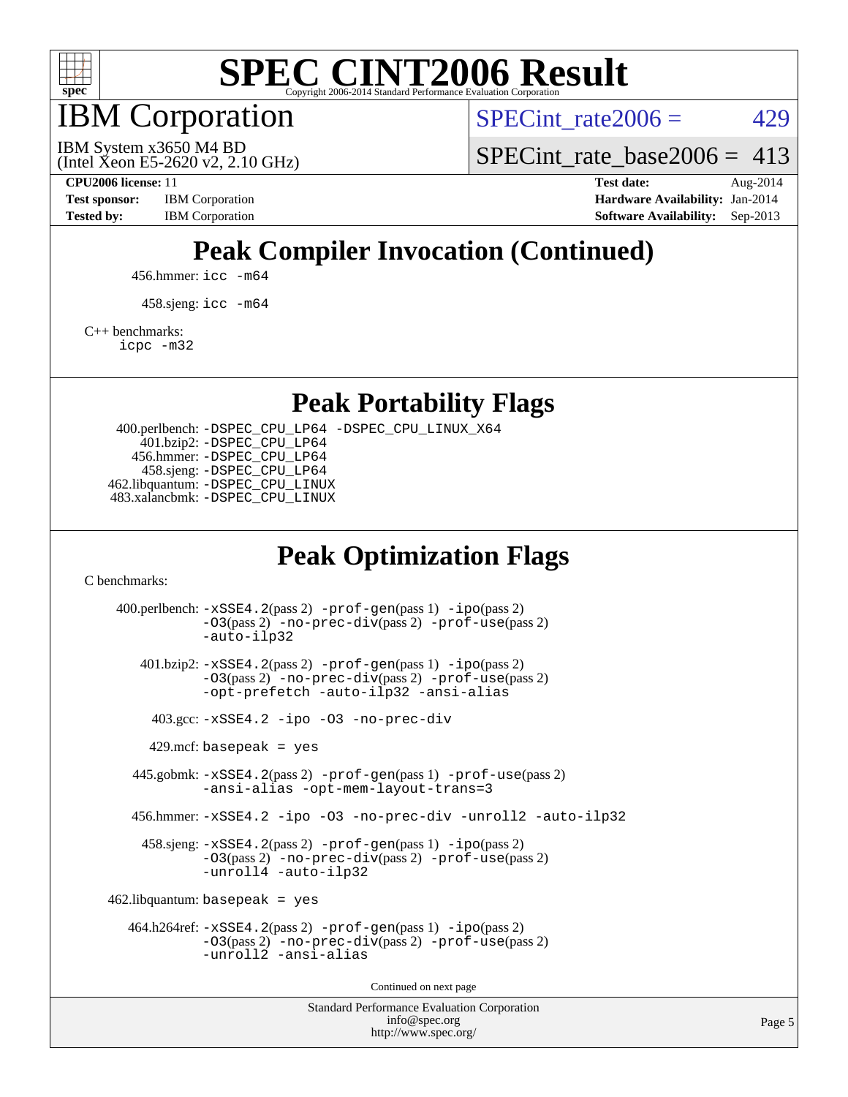

IBM Corporation

SPECint rate $2006 = 429$ 

(Intel Xeon E5-2620 v2, 2.10 GHz) IBM System x3650 M4 BD

[SPECint\\_rate\\_base2006 =](http://www.spec.org/auto/cpu2006/Docs/result-fields.html#SPECintratebase2006)  $413$ 

**[CPU2006 license:](http://www.spec.org/auto/cpu2006/Docs/result-fields.html#CPU2006license)** 11 **[Test date:](http://www.spec.org/auto/cpu2006/Docs/result-fields.html#Testdate)** Aug-2014 **[Test sponsor:](http://www.spec.org/auto/cpu2006/Docs/result-fields.html#Testsponsor)** IBM Corporation **[Hardware Availability:](http://www.spec.org/auto/cpu2006/Docs/result-fields.html#HardwareAvailability)** Jan-2014 **[Tested by:](http://www.spec.org/auto/cpu2006/Docs/result-fields.html#Testedby)** IBM Corporation **[Software Availability:](http://www.spec.org/auto/cpu2006/Docs/result-fields.html#SoftwareAvailability)** Sep-2013

## **[Peak Compiler Invocation \(Continued\)](http://www.spec.org/auto/cpu2006/Docs/result-fields.html#PeakCompilerInvocation)**

456.hmmer: [icc -m64](http://www.spec.org/cpu2006/results/res2014q3/cpu2006-20140822-30994.flags.html#user_peakCCLD456_hmmer_intel_icc_64bit_bda6cc9af1fdbb0edc3795bac97ada53)

458.sjeng: [icc -m64](http://www.spec.org/cpu2006/results/res2014q3/cpu2006-20140822-30994.flags.html#user_peakCCLD458_sjeng_intel_icc_64bit_bda6cc9af1fdbb0edc3795bac97ada53)

[C++ benchmarks:](http://www.spec.org/auto/cpu2006/Docs/result-fields.html#CXXbenchmarks)

[icpc -m32](http://www.spec.org/cpu2006/results/res2014q3/cpu2006-20140822-30994.flags.html#user_CXXpeak_intel_icpc_4e5a5ef1a53fd332b3c49e69c3330699)

**[Peak Portability Flags](http://www.spec.org/auto/cpu2006/Docs/result-fields.html#PeakPortabilityFlags)**

 400.perlbench: [-DSPEC\\_CPU\\_LP64](http://www.spec.org/cpu2006/results/res2014q3/cpu2006-20140822-30994.flags.html#b400.perlbench_peakCPORTABILITY_DSPEC_CPU_LP64) [-DSPEC\\_CPU\\_LINUX\\_X64](http://www.spec.org/cpu2006/results/res2014q3/cpu2006-20140822-30994.flags.html#b400.perlbench_peakCPORTABILITY_DSPEC_CPU_LINUX_X64) 401.bzip2: [-DSPEC\\_CPU\\_LP64](http://www.spec.org/cpu2006/results/res2014q3/cpu2006-20140822-30994.flags.html#suite_peakCPORTABILITY401_bzip2_DSPEC_CPU_LP64) 456.hmmer: [-DSPEC\\_CPU\\_LP64](http://www.spec.org/cpu2006/results/res2014q3/cpu2006-20140822-30994.flags.html#suite_peakCPORTABILITY456_hmmer_DSPEC_CPU_LP64) 458.sjeng: [-DSPEC\\_CPU\\_LP64](http://www.spec.org/cpu2006/results/res2014q3/cpu2006-20140822-30994.flags.html#suite_peakCPORTABILITY458_sjeng_DSPEC_CPU_LP64) 462.libquantum: [-DSPEC\\_CPU\\_LINUX](http://www.spec.org/cpu2006/results/res2014q3/cpu2006-20140822-30994.flags.html#b462.libquantum_peakCPORTABILITY_DSPEC_CPU_LINUX) 483.xalancbmk: [-DSPEC\\_CPU\\_LINUX](http://www.spec.org/cpu2006/results/res2014q3/cpu2006-20140822-30994.flags.html#b483.xalancbmk_peakCXXPORTABILITY_DSPEC_CPU_LINUX)

## **[Peak Optimization Flags](http://www.spec.org/auto/cpu2006/Docs/result-fields.html#PeakOptimizationFlags)**

[C benchmarks](http://www.spec.org/auto/cpu2006/Docs/result-fields.html#Cbenchmarks):

Standard Performance Evaluation Corporation 400.perlbench: [-xSSE4.2](http://www.spec.org/cpu2006/results/res2014q3/cpu2006-20140822-30994.flags.html#user_peakPASS2_CFLAGSPASS2_LDCFLAGS400_perlbench_f-xSSE42_f91528193cf0b216347adb8b939d4107)(pass 2) [-prof-gen](http://www.spec.org/cpu2006/results/res2014q3/cpu2006-20140822-30994.flags.html#user_peakPASS1_CFLAGSPASS1_LDCFLAGS400_perlbench_prof_gen_e43856698f6ca7b7e442dfd80e94a8fc)(pass 1) [-ipo](http://www.spec.org/cpu2006/results/res2014q3/cpu2006-20140822-30994.flags.html#user_peakPASS2_CFLAGSPASS2_LDCFLAGS400_perlbench_f-ipo)(pass 2) [-O3](http://www.spec.org/cpu2006/results/res2014q3/cpu2006-20140822-30994.flags.html#user_peakPASS2_CFLAGSPASS2_LDCFLAGS400_perlbench_f-O3)(pass 2) [-no-prec-div](http://www.spec.org/cpu2006/results/res2014q3/cpu2006-20140822-30994.flags.html#user_peakPASS2_CFLAGSPASS2_LDCFLAGS400_perlbench_f-no-prec-div)(pass 2) [-prof-use](http://www.spec.org/cpu2006/results/res2014q3/cpu2006-20140822-30994.flags.html#user_peakPASS2_CFLAGSPASS2_LDCFLAGS400_perlbench_prof_use_bccf7792157ff70d64e32fe3e1250b55)(pass 2) [-auto-ilp32](http://www.spec.org/cpu2006/results/res2014q3/cpu2006-20140822-30994.flags.html#user_peakCOPTIMIZE400_perlbench_f-auto-ilp32) 401.bzip2: [-xSSE4.2](http://www.spec.org/cpu2006/results/res2014q3/cpu2006-20140822-30994.flags.html#user_peakPASS2_CFLAGSPASS2_LDCFLAGS401_bzip2_f-xSSE42_f91528193cf0b216347adb8b939d4107)(pass 2) [-prof-gen](http://www.spec.org/cpu2006/results/res2014q3/cpu2006-20140822-30994.flags.html#user_peakPASS1_CFLAGSPASS1_LDCFLAGS401_bzip2_prof_gen_e43856698f6ca7b7e442dfd80e94a8fc)(pass 1) [-ipo](http://www.spec.org/cpu2006/results/res2014q3/cpu2006-20140822-30994.flags.html#user_peakPASS2_CFLAGSPASS2_LDCFLAGS401_bzip2_f-ipo)(pass 2) [-O3](http://www.spec.org/cpu2006/results/res2014q3/cpu2006-20140822-30994.flags.html#user_peakPASS2_CFLAGSPASS2_LDCFLAGS401_bzip2_f-O3)(pass 2) [-no-prec-div](http://www.spec.org/cpu2006/results/res2014q3/cpu2006-20140822-30994.flags.html#user_peakPASS2_CFLAGSPASS2_LDCFLAGS401_bzip2_f-no-prec-div)(pass 2) [-prof-use](http://www.spec.org/cpu2006/results/res2014q3/cpu2006-20140822-30994.flags.html#user_peakPASS2_CFLAGSPASS2_LDCFLAGS401_bzip2_prof_use_bccf7792157ff70d64e32fe3e1250b55)(pass 2) [-opt-prefetch](http://www.spec.org/cpu2006/results/res2014q3/cpu2006-20140822-30994.flags.html#user_peakCOPTIMIZE401_bzip2_f-opt-prefetch) [-auto-ilp32](http://www.spec.org/cpu2006/results/res2014q3/cpu2006-20140822-30994.flags.html#user_peakCOPTIMIZE401_bzip2_f-auto-ilp32) [-ansi-alias](http://www.spec.org/cpu2006/results/res2014q3/cpu2006-20140822-30994.flags.html#user_peakCOPTIMIZE401_bzip2_f-ansi-alias) 403.gcc: [-xSSE4.2](http://www.spec.org/cpu2006/results/res2014q3/cpu2006-20140822-30994.flags.html#user_peakCOPTIMIZE403_gcc_f-xSSE42_f91528193cf0b216347adb8b939d4107) [-ipo](http://www.spec.org/cpu2006/results/res2014q3/cpu2006-20140822-30994.flags.html#user_peakCOPTIMIZE403_gcc_f-ipo) [-O3](http://www.spec.org/cpu2006/results/res2014q3/cpu2006-20140822-30994.flags.html#user_peakCOPTIMIZE403_gcc_f-O3) [-no-prec-div](http://www.spec.org/cpu2006/results/res2014q3/cpu2006-20140822-30994.flags.html#user_peakCOPTIMIZE403_gcc_f-no-prec-div)  $429$ .mcf: basepeak = yes 445.gobmk: [-xSSE4.2](http://www.spec.org/cpu2006/results/res2014q3/cpu2006-20140822-30994.flags.html#user_peakPASS2_CFLAGSPASS2_LDCFLAGS445_gobmk_f-xSSE42_f91528193cf0b216347adb8b939d4107)(pass 2) [-prof-gen](http://www.spec.org/cpu2006/results/res2014q3/cpu2006-20140822-30994.flags.html#user_peakPASS1_CFLAGSPASS1_LDCFLAGS445_gobmk_prof_gen_e43856698f6ca7b7e442dfd80e94a8fc)(pass 1) [-prof-use](http://www.spec.org/cpu2006/results/res2014q3/cpu2006-20140822-30994.flags.html#user_peakPASS2_CFLAGSPASS2_LDCFLAGS445_gobmk_prof_use_bccf7792157ff70d64e32fe3e1250b55)(pass 2) [-ansi-alias](http://www.spec.org/cpu2006/results/res2014q3/cpu2006-20140822-30994.flags.html#user_peakCOPTIMIZE445_gobmk_f-ansi-alias) [-opt-mem-layout-trans=3](http://www.spec.org/cpu2006/results/res2014q3/cpu2006-20140822-30994.flags.html#user_peakCOPTIMIZE445_gobmk_f-opt-mem-layout-trans_a7b82ad4bd7abf52556d4961a2ae94d5) 456.hmmer: [-xSSE4.2](http://www.spec.org/cpu2006/results/res2014q3/cpu2006-20140822-30994.flags.html#user_peakCOPTIMIZE456_hmmer_f-xSSE42_f91528193cf0b216347adb8b939d4107) [-ipo](http://www.spec.org/cpu2006/results/res2014q3/cpu2006-20140822-30994.flags.html#user_peakCOPTIMIZE456_hmmer_f-ipo) [-O3](http://www.spec.org/cpu2006/results/res2014q3/cpu2006-20140822-30994.flags.html#user_peakCOPTIMIZE456_hmmer_f-O3) [-no-prec-div](http://www.spec.org/cpu2006/results/res2014q3/cpu2006-20140822-30994.flags.html#user_peakCOPTIMIZE456_hmmer_f-no-prec-div) [-unroll2](http://www.spec.org/cpu2006/results/res2014q3/cpu2006-20140822-30994.flags.html#user_peakCOPTIMIZE456_hmmer_f-unroll_784dae83bebfb236979b41d2422d7ec2) [-auto-ilp32](http://www.spec.org/cpu2006/results/res2014q3/cpu2006-20140822-30994.flags.html#user_peakCOPTIMIZE456_hmmer_f-auto-ilp32) 458.sjeng: [-xSSE4.2](http://www.spec.org/cpu2006/results/res2014q3/cpu2006-20140822-30994.flags.html#user_peakPASS2_CFLAGSPASS2_LDCFLAGS458_sjeng_f-xSSE42_f91528193cf0b216347adb8b939d4107)(pass 2) [-prof-gen](http://www.spec.org/cpu2006/results/res2014q3/cpu2006-20140822-30994.flags.html#user_peakPASS1_CFLAGSPASS1_LDCFLAGS458_sjeng_prof_gen_e43856698f6ca7b7e442dfd80e94a8fc)(pass 1) [-ipo](http://www.spec.org/cpu2006/results/res2014q3/cpu2006-20140822-30994.flags.html#user_peakPASS2_CFLAGSPASS2_LDCFLAGS458_sjeng_f-ipo)(pass 2) [-O3](http://www.spec.org/cpu2006/results/res2014q3/cpu2006-20140822-30994.flags.html#user_peakPASS2_CFLAGSPASS2_LDCFLAGS458_sjeng_f-O3)(pass 2) [-no-prec-div](http://www.spec.org/cpu2006/results/res2014q3/cpu2006-20140822-30994.flags.html#user_peakPASS2_CFLAGSPASS2_LDCFLAGS458_sjeng_f-no-prec-div)(pass 2) [-prof-use](http://www.spec.org/cpu2006/results/res2014q3/cpu2006-20140822-30994.flags.html#user_peakPASS2_CFLAGSPASS2_LDCFLAGS458_sjeng_prof_use_bccf7792157ff70d64e32fe3e1250b55)(pass 2) [-unroll4](http://www.spec.org/cpu2006/results/res2014q3/cpu2006-20140822-30994.flags.html#user_peakCOPTIMIZE458_sjeng_f-unroll_4e5e4ed65b7fd20bdcd365bec371b81f) [-auto-ilp32](http://www.spec.org/cpu2006/results/res2014q3/cpu2006-20140822-30994.flags.html#user_peakCOPTIMIZE458_sjeng_f-auto-ilp32)  $462$ .libquantum: basepeak = yes 464.h264ref: [-xSSE4.2](http://www.spec.org/cpu2006/results/res2014q3/cpu2006-20140822-30994.flags.html#user_peakPASS2_CFLAGSPASS2_LDCFLAGS464_h264ref_f-xSSE42_f91528193cf0b216347adb8b939d4107)(pass 2) [-prof-gen](http://www.spec.org/cpu2006/results/res2014q3/cpu2006-20140822-30994.flags.html#user_peakPASS1_CFLAGSPASS1_LDCFLAGS464_h264ref_prof_gen_e43856698f6ca7b7e442dfd80e94a8fc)(pass 1) [-ipo](http://www.spec.org/cpu2006/results/res2014q3/cpu2006-20140822-30994.flags.html#user_peakPASS2_CFLAGSPASS2_LDCFLAGS464_h264ref_f-ipo)(pass 2) [-O3](http://www.spec.org/cpu2006/results/res2014q3/cpu2006-20140822-30994.flags.html#user_peakPASS2_CFLAGSPASS2_LDCFLAGS464_h264ref_f-O3)(pass 2) [-no-prec-div](http://www.spec.org/cpu2006/results/res2014q3/cpu2006-20140822-30994.flags.html#user_peakPASS2_CFLAGSPASS2_LDCFLAGS464_h264ref_f-no-prec-div)(pass 2) [-prof-use](http://www.spec.org/cpu2006/results/res2014q3/cpu2006-20140822-30994.flags.html#user_peakPASS2_CFLAGSPASS2_LDCFLAGS464_h264ref_prof_use_bccf7792157ff70d64e32fe3e1250b55)(pass 2) [-unroll2](http://www.spec.org/cpu2006/results/res2014q3/cpu2006-20140822-30994.flags.html#user_peakCOPTIMIZE464_h264ref_f-unroll_784dae83bebfb236979b41d2422d7ec2) [-ansi-alias](http://www.spec.org/cpu2006/results/res2014q3/cpu2006-20140822-30994.flags.html#user_peakCOPTIMIZE464_h264ref_f-ansi-alias) Continued on next page

[info@spec.org](mailto:info@spec.org) <http://www.spec.org/>